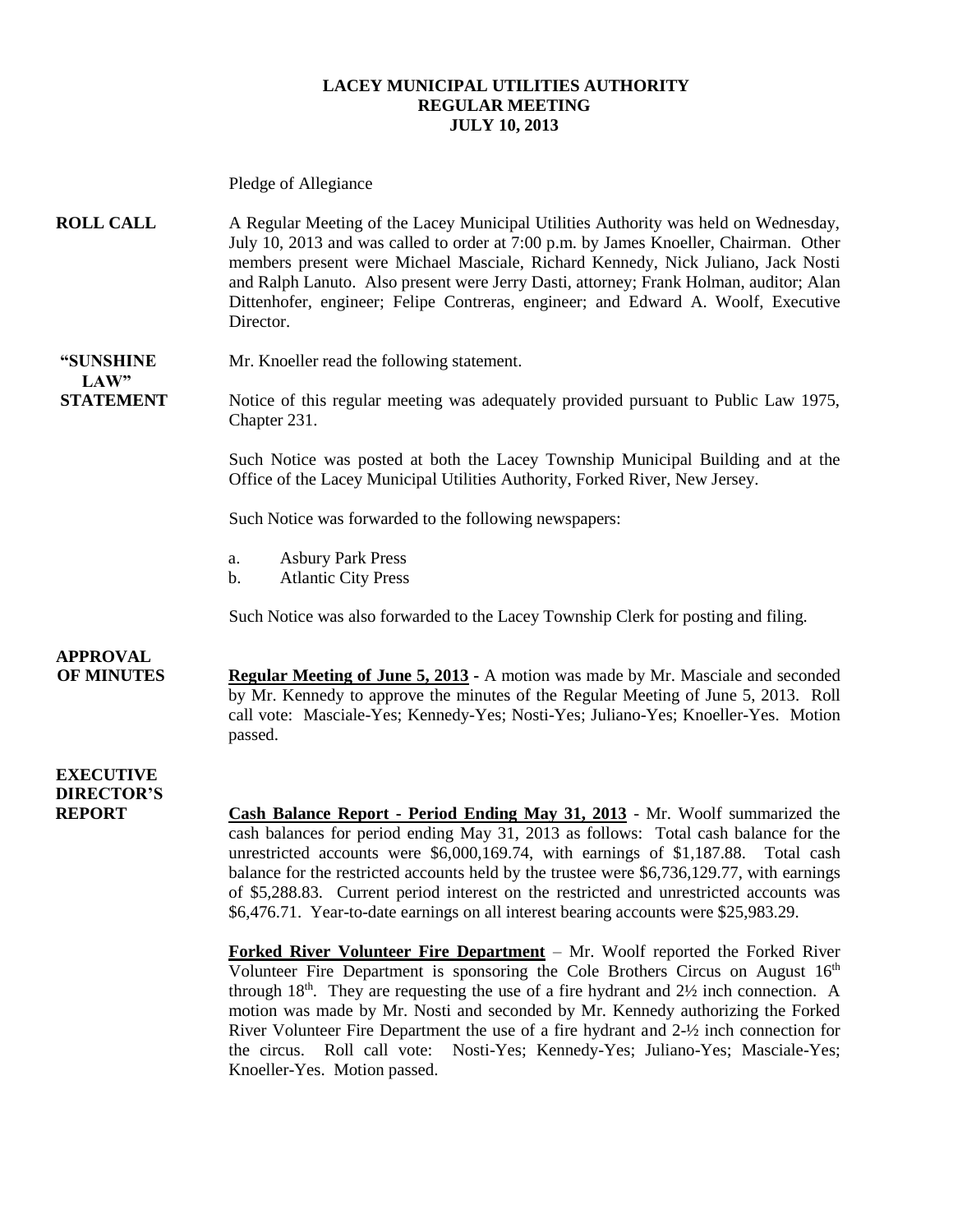### **LACEY MUNICIPAL UTILITIES AUTHORITY REGULAR MEETING JULY 10, 2013**

Pledge of Allegiance **ROLL CALL** A Regular Meeting of the Lacey Municipal Utilities Authority was held on Wednesday, July 10, 2013 and was called to order at 7:00 p.m. by James Knoeller, Chairman. Other members present were Michael Masciale, Richard Kennedy, Nick Juliano, Jack Nosti and Ralph Lanuto. Also present were Jerry Dasti, attorney; Frank Holman, auditor; Alan Dittenhofer, engineer; Felipe Contreras, engineer; and Edward A. Woolf, Executive Director. **"SUNSHINE** Mr. Knoeller read the following statement. **LAW" STATEMENT** Notice of this regular meeting was adequately provided pursuant to Public Law 1975, Chapter 231. Such Notice was posted at both the Lacey Township Municipal Building and at the Office of the Lacey Municipal Utilities Authority, Forked River, New Jersey. Such Notice was forwarded to the following newspapers: a. Asbury Park Press b. Atlantic City Press Such Notice was also forwarded to the Lacey Township Clerk for posting and filing. **APPROVAL OF MINUTES Regular Meeting of June 5, 2013 -** A motion was made by Mr. Masciale and seconded by Mr. Kennedy to approve the minutes of the Regular Meeting of June 5, 2013. Roll call vote: Masciale-Yes; Kennedy-Yes; Nosti-Yes; Juliano-Yes; Knoeller-Yes. Motion passed. **EXECUTIVE DIRECTOR'S REPORT Cash Balance Report - Period Ending May 31, 2013** - Mr. Woolf summarized the cash balances for period ending May 31, 2013 as follows: Total cash balance for the unrestricted accounts were \$6,000,169.74, with earnings of \$1,187.88. Total cash balance for the restricted accounts held by the trustee were \$6,736,129.77, with earnings of \$5,288.83. Current period interest on the restricted and unrestricted accounts was \$6,476.71. Year-to-date earnings on all interest bearing accounts were \$25,983.29. **Forked River Volunteer Fire Department** – Mr. Woolf reported the Forked River Volunteer Fire Department is sponsoring the Cole Brothers Circus on August  $16<sup>th</sup>$ through  $18<sup>th</sup>$ . They are requesting the use of a fire hydrant and  $2\frac{1}{2}$  inch connection. A motion was made by Mr. Nosti and seconded by Mr. Kennedy authorizing the Forked

Knoeller-Yes. Motion passed.

River Volunteer Fire Department the use of a fire hydrant and 2-½ inch connection for the circus. Roll call vote: Nosti-Yes; Kennedy-Yes; Juliano-Yes; Masciale-Yes;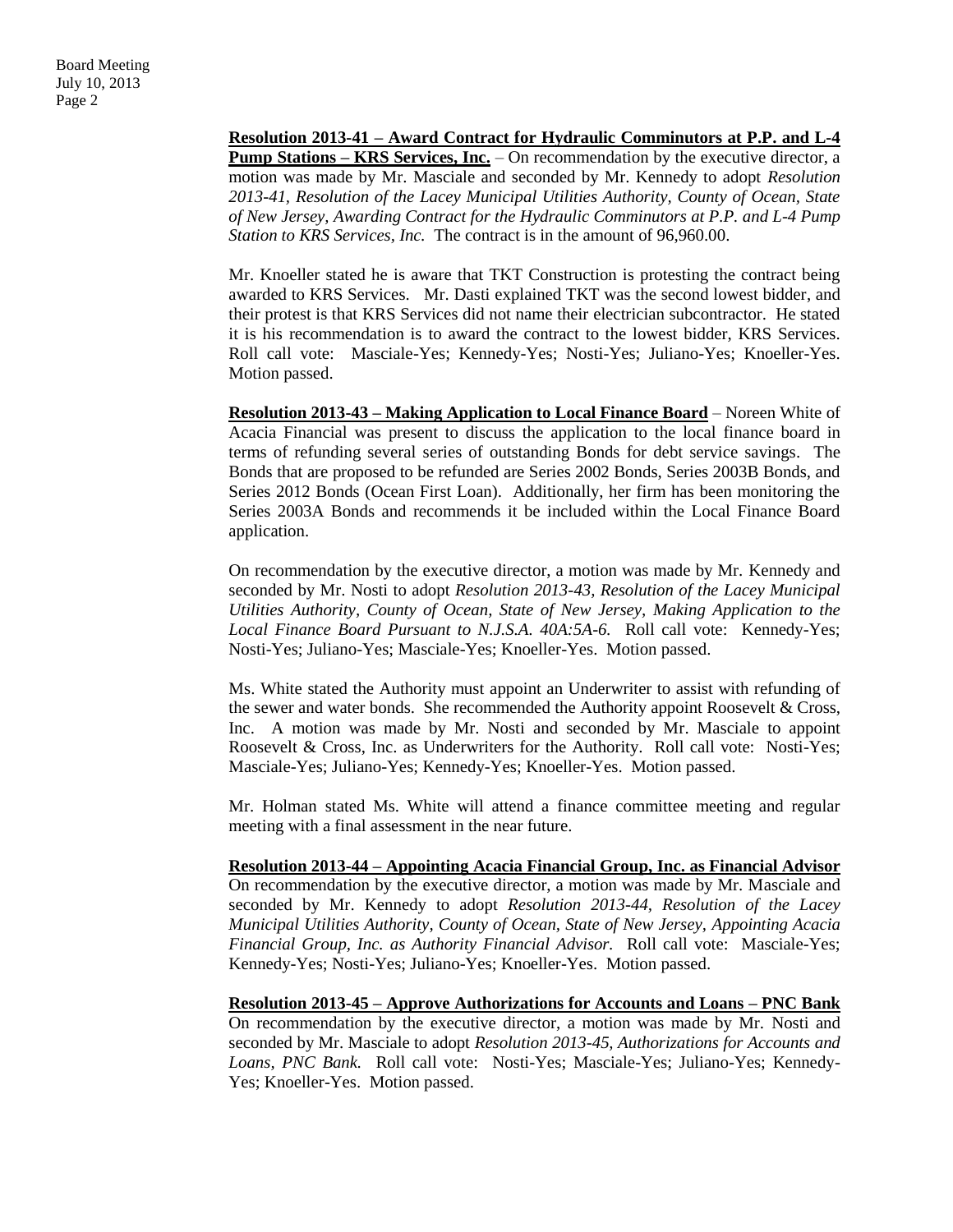**Resolution 2013-41 – Award Contract for Hydraulic Comminutors at P.P. and L-4 Pump Stations – KRS Services, Inc.** – On recommendation by the executive director, a motion was made by Mr. Masciale and seconded by Mr. Kennedy to adopt *Resolution 2013-41, Resolution of the Lacey Municipal Utilities Authority, County of Ocean, State of New Jersey, Awarding Contract for the Hydraulic Comminutors at P.P. and L-4 Pump Station to KRS Services, Inc.* The contract is in the amount of 96,960.00.

Mr. Knoeller stated he is aware that TKT Construction is protesting the contract being awarded to KRS Services. Mr. Dasti explained TKT was the second lowest bidder, and their protest is that KRS Services did not name their electrician subcontractor. He stated it is his recommendation is to award the contract to the lowest bidder, KRS Services. Roll call vote: Masciale-Yes; Kennedy-Yes; Nosti-Yes; Juliano-Yes; Knoeller-Yes. Motion passed.

**Resolution 2013-43 – Making Application to Local Finance Board** – Noreen White of Acacia Financial was present to discuss the application to the local finance board in terms of refunding several series of outstanding Bonds for debt service savings. The Bonds that are proposed to be refunded are Series 2002 Bonds, Series 2003B Bonds, and Series 2012 Bonds (Ocean First Loan). Additionally, her firm has been monitoring the Series 2003A Bonds and recommends it be included within the Local Finance Board application.

On recommendation by the executive director, a motion was made by Mr. Kennedy and seconded by Mr. Nosti to adopt *Resolution 2013-43, Resolution of the Lacey Municipal Utilities Authority, County of Ocean, State of New Jersey, Making Application to the Local Finance Board Pursuant to N.J.S.A. 40A:5A-6.* Roll call vote: Kennedy-Yes; Nosti-Yes; Juliano-Yes; Masciale-Yes; Knoeller-Yes. Motion passed.

Ms. White stated the Authority must appoint an Underwriter to assist with refunding of the sewer and water bonds. She recommended the Authority appoint Roosevelt & Cross, Inc. A motion was made by Mr. Nosti and seconded by Mr. Masciale to appoint Roosevelt & Cross, Inc. as Underwriters for the Authority. Roll call vote: Nosti-Yes; Masciale-Yes; Juliano-Yes; Kennedy-Yes; Knoeller-Yes. Motion passed.

Mr. Holman stated Ms. White will attend a finance committee meeting and regular meeting with a final assessment in the near future.

**Resolution 2013-44 – Appointing Acacia Financial Group, Inc. as Financial Advisor** On recommendation by the executive director, a motion was made by Mr. Masciale and seconded by Mr. Kennedy to adopt *Resolution 2013-44, Resolution of the Lacey Municipal Utilities Authority, County of Ocean, State of New Jersey, Appointing Acacia Financial Group, Inc. as Authority Financial Advisor.* Roll call vote: Masciale-Yes; Kennedy-Yes; Nosti-Yes; Juliano-Yes; Knoeller-Yes. Motion passed.

**Resolution 2013-45 – Approve Authorizations for Accounts and Loans – PNC Bank** On recommendation by the executive director, a motion was made by Mr. Nosti and seconded by Mr. Masciale to adopt *Resolution 2013-45, Authorizations for Accounts and Loans, PNC Bank.* Roll call vote: Nosti-Yes; Masciale-Yes; Juliano-Yes; Kennedy-Yes; Knoeller-Yes. Motion passed.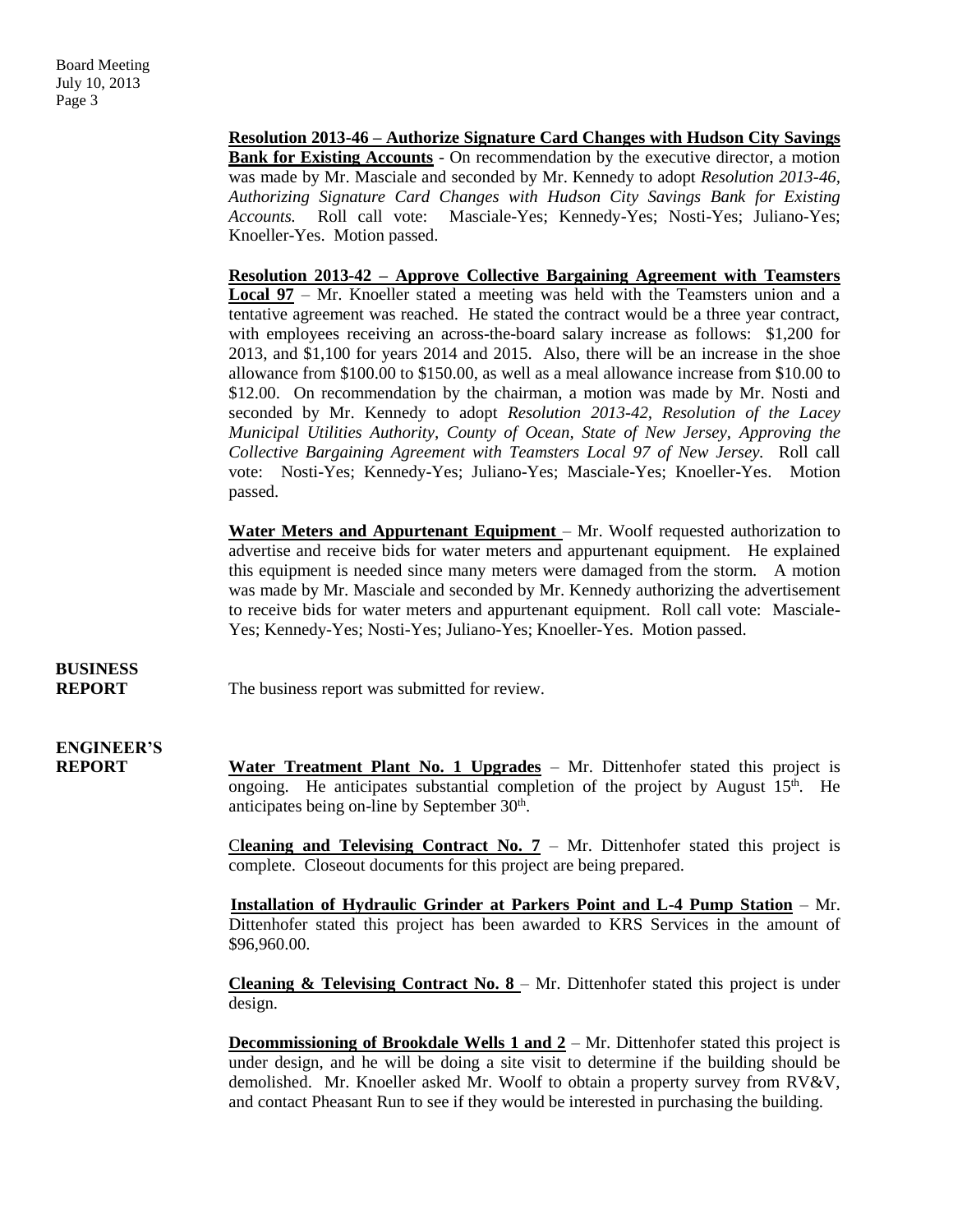**Resolution 2013-46 – Authorize Signature Card Changes with Hudson City Savings Bank for Existing Accounts** - On recommendation by the executive director, a motion was made by Mr. Masciale and seconded by Mr. Kennedy to adopt *Resolution 2013-46, Authorizing Signature Card Changes with Hudson City Savings Bank for Existing Accounts.* Roll call vote: Masciale-Yes; Kennedy-Yes; Nosti-Yes; Juliano-Yes; Knoeller-Yes. Motion passed.

**Resolution 2013-42 – Approve Collective Bargaining Agreement with Teamsters Local 97** – Mr. Knoeller stated a meeting was held with the Teamsters union and a tentative agreement was reached. He stated the contract would be a three year contract, with employees receiving an across-the-board salary increase as follows: \$1,200 for 2013, and \$1,100 for years 2014 and 2015. Also, there will be an increase in the shoe allowance from \$100.00 to \$150.00, as well as a meal allowance increase from \$10.00 to \$12.00. On recommendation by the chairman, a motion was made by Mr. Nosti and seconded by Mr. Kennedy to adopt *Resolution 2013-42, Resolution of the Lacey Municipal Utilities Authority, County of Ocean, State of New Jersey, Approving the Collective Bargaining Agreement with Teamsters Local 97 of New Jersey.* Roll call vote: Nosti-Yes; Kennedy-Yes; Juliano-Yes; Masciale-Yes; Knoeller-Yes. Motion passed.

**Water Meters and Appurtenant Equipment** – Mr. Woolf requested authorization to advertise and receive bids for water meters and appurtenant equipment. He explained this equipment is needed since many meters were damaged from the storm. A motion was made by Mr. Masciale and seconded by Mr. Kennedy authorizing the advertisement to receive bids for water meters and appurtenant equipment. Roll call vote: Masciale-Yes; Kennedy-Yes; Nosti-Yes; Juliano-Yes; Knoeller-Yes. Motion passed.

## **BUSINESS**

**REPORT** The business report was submitted for review.

## **ENGINEER'S**

**REPORT Water Treatment Plant No. 1 Upgrades** – Mr. Dittenhofer stated this project is ongoing. He anticipates substantial completion of the project by August  $15<sup>th</sup>$ . He anticipates being on-line by September 30<sup>th</sup>.

> **Cleaning and Televising Contract No.**  $7 - Mr$ **.** Dittenhofer stated this project is complete. Closeout documents for this project are being prepared.

> **Installation of Hydraulic Grinder at Parkers Point and L-4 Pump Station** – Mr. Dittenhofer stated this project has been awarded to KRS Services in the amount of \$96,960.00.

> **Cleaning & Televising Contract No. 8** – Mr. Dittenhofer stated this project is under design.

> **Decommissioning of Brookdale Wells 1 and 2** – Mr. Dittenhofer stated this project is under design, and he will be doing a site visit to determine if the building should be demolished. Mr. Knoeller asked Mr. Woolf to obtain a property survey from RV&V, and contact Pheasant Run to see if they would be interested in purchasing the building.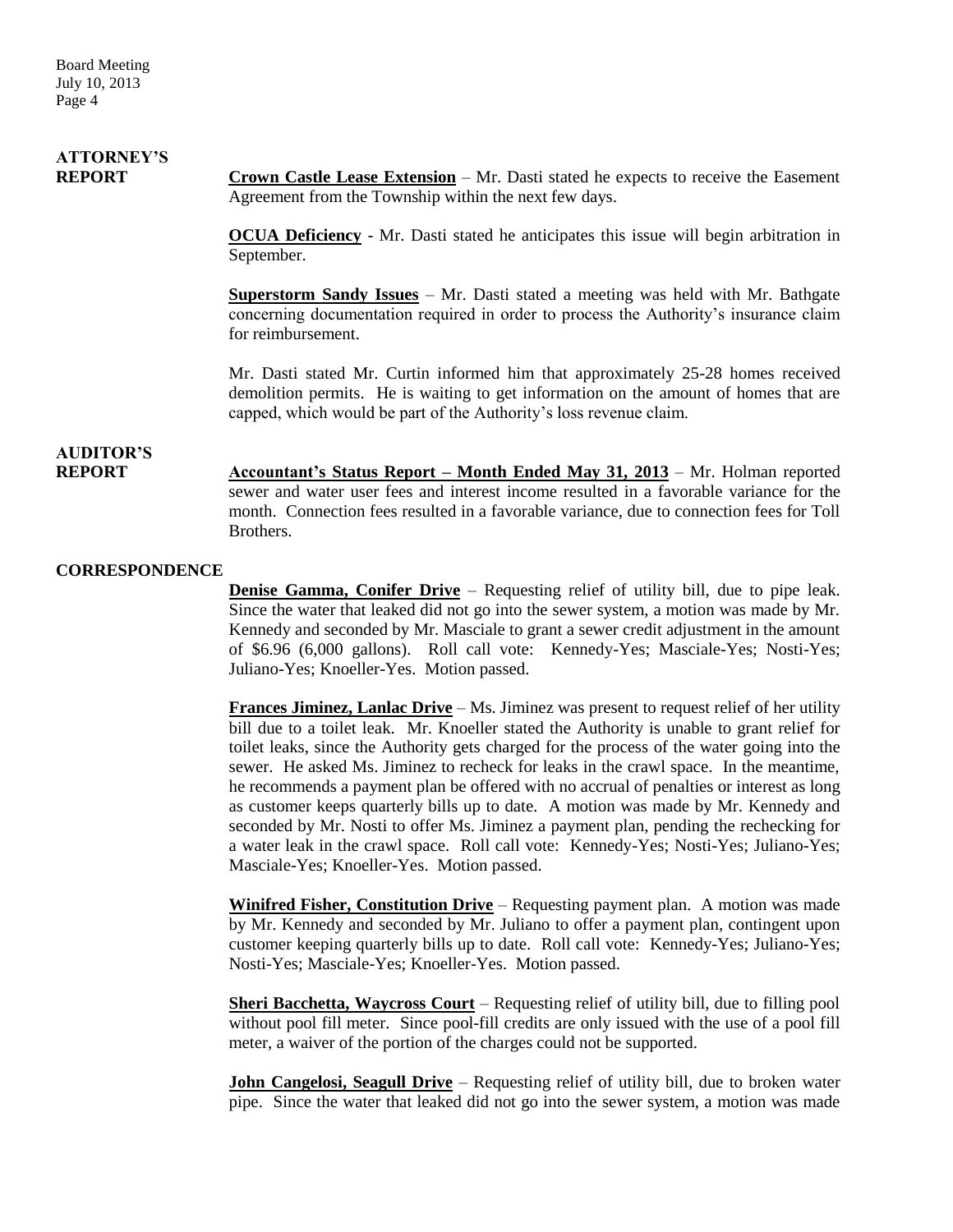## **ATTORNEY'S**

**REPORT Crown Castle Lease Extension** – Mr. Dasti stated he expects to receive the Easement Agreement from the Township within the next few days.

> **OCUA Deficiency** - Mr. Dasti stated he anticipates this issue will begin arbitration in September.

> **Superstorm Sandy Issues** – Mr. Dasti stated a meeting was held with Mr. Bathgate concerning documentation required in order to process the Authority's insurance claim for reimbursement.

> Mr. Dasti stated Mr. Curtin informed him that approximately 25-28 homes received demolition permits. He is waiting to get information on the amount of homes that are capped, which would be part of the Authority's loss revenue claim.

### **AUDITOR'S**

**REPORT Accountant's Status Report – Month Ended May 31, 2013** – Mr. Holman reported sewer and water user fees and interest income resulted in a favorable variance for the month. Connection fees resulted in a favorable variance, due to connection fees for Toll Brothers.

### **CORRESPONDENCE**

**Denise Gamma, Conifer Drive** – Requesting relief of utility bill, due to pipe leak. Since the water that leaked did not go into the sewer system, a motion was made by Mr. Kennedy and seconded by Mr. Masciale to grant a sewer credit adjustment in the amount of \$6.96 (6,000 gallons). Roll call vote: Kennedy-Yes; Masciale-Yes; Nosti-Yes; Juliano-Yes; Knoeller-Yes. Motion passed.

**Frances Jiminez, Lanlac Drive** – Ms. Jiminez was present to request relief of her utility bill due to a toilet leak. Mr. Knoeller stated the Authority is unable to grant relief for toilet leaks, since the Authority gets charged for the process of the water going into the sewer. He asked Ms. Jiminez to recheck for leaks in the crawl space. In the meantime, he recommends a payment plan be offered with no accrual of penalties or interest as long as customer keeps quarterly bills up to date. A motion was made by Mr. Kennedy and seconded by Mr. Nosti to offer Ms. Jiminez a payment plan, pending the rechecking for a water leak in the crawl space. Roll call vote: Kennedy-Yes; Nosti-Yes; Juliano-Yes; Masciale-Yes; Knoeller-Yes. Motion passed.

**Winifred Fisher, Constitution Drive** – Requesting payment plan. A motion was made by Mr. Kennedy and seconded by Mr. Juliano to offer a payment plan, contingent upon customer keeping quarterly bills up to date. Roll call vote: Kennedy-Yes; Juliano-Yes; Nosti-Yes; Masciale-Yes; Knoeller-Yes. Motion passed.

**Sheri Bacchetta, Waycross Court** – Requesting relief of utility bill, due to filling pool without pool fill meter. Since pool-fill credits are only issued with the use of a pool fill meter, a waiver of the portion of the charges could not be supported.

**John Cangelosi, Seagull Drive** – Requesting relief of utility bill, due to broken water pipe. Since the water that leaked did not go into the sewer system, a motion was made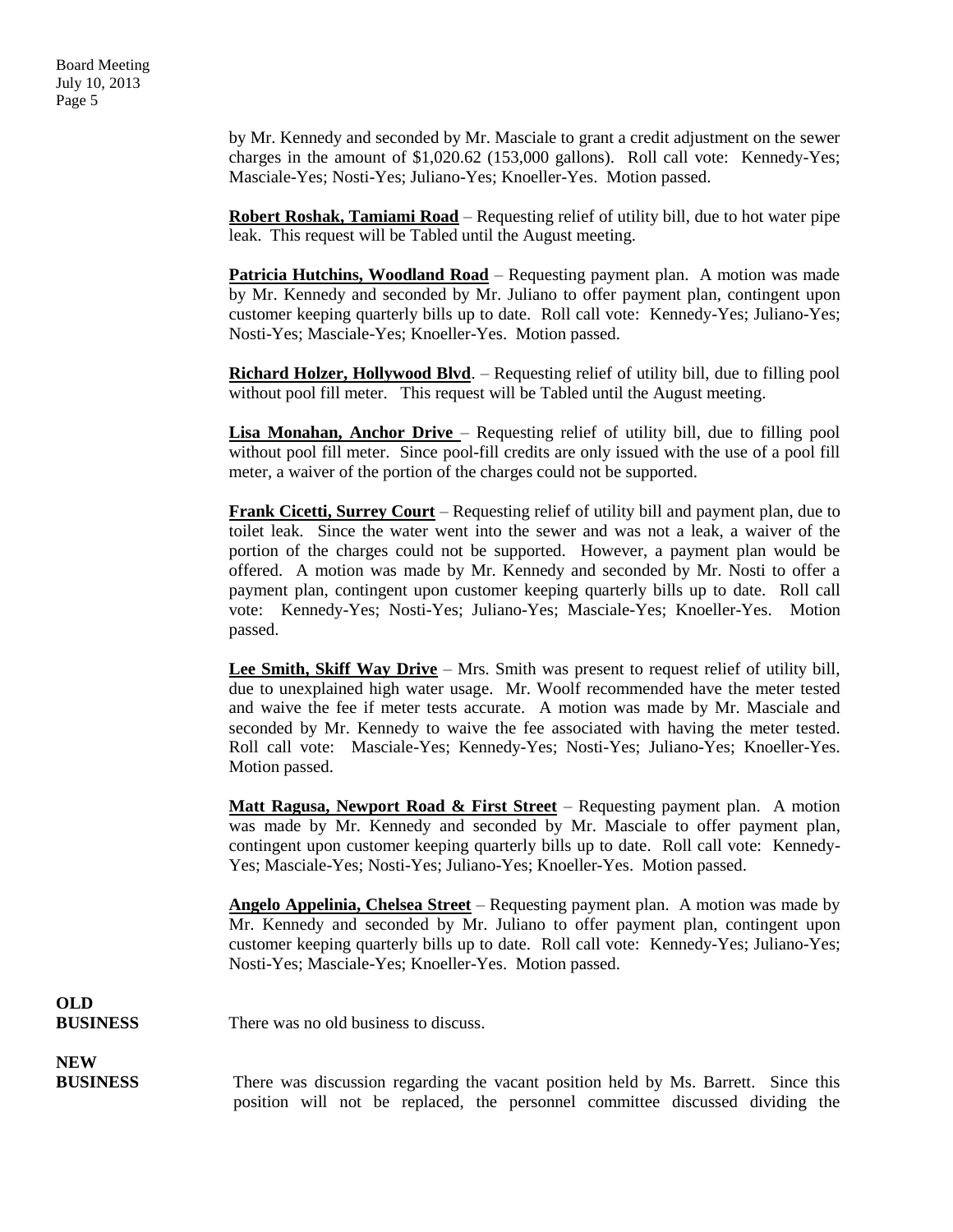Board Meeting July 10, 2013 Page 5

> by Mr. Kennedy and seconded by Mr. Masciale to grant a credit adjustment on the sewer charges in the amount of \$1,020.62 (153,000 gallons). Roll call vote: Kennedy-Yes; Masciale-Yes; Nosti-Yes; Juliano-Yes; Knoeller-Yes. Motion passed.

> **Robert Roshak, Tamiami Road** – Requesting relief of utility bill, due to hot water pipe leak. This request will be Tabled until the August meeting.

> **Patricia Hutchins, Woodland Road** – Requesting payment plan. A motion was made by Mr. Kennedy and seconded by Mr. Juliano to offer payment plan, contingent upon customer keeping quarterly bills up to date. Roll call vote: Kennedy-Yes; Juliano-Yes; Nosti-Yes; Masciale-Yes; Knoeller-Yes. Motion passed.

> **Richard Holzer, Hollywood Blvd**. – Requesting relief of utility bill, due to filling pool without pool fill meter. This request will be Tabled until the August meeting.

> **Lisa Monahan, Anchor Drive** – Requesting relief of utility bill, due to filling pool without pool fill meter. Since pool-fill credits are only issued with the use of a pool fill meter, a waiver of the portion of the charges could not be supported.

> **Frank Cicetti, Surrey Court** – Requesting relief of utility bill and payment plan, due to toilet leak. Since the water went into the sewer and was not a leak, a waiver of the portion of the charges could not be supported. However, a payment plan would be offered. A motion was made by Mr. Kennedy and seconded by Mr. Nosti to offer a payment plan, contingent upon customer keeping quarterly bills up to date. Roll call vote: Kennedy-Yes; Nosti-Yes; Juliano-Yes; Masciale-Yes; Knoeller-Yes. Motion passed.

> **Lee Smith, Skiff Way Drive** – Mrs. Smith was present to request relief of utility bill, due to unexplained high water usage. Mr. Woolf recommended have the meter tested and waive the fee if meter tests accurate. A motion was made by Mr. Masciale and seconded by Mr. Kennedy to waive the fee associated with having the meter tested. Roll call vote: Masciale-Yes; Kennedy-Yes; Nosti-Yes; Juliano-Yes; Knoeller-Yes. Motion passed.

> **Matt Ragusa, Newport Road & First Street** – Requesting payment plan. A motion was made by Mr. Kennedy and seconded by Mr. Masciale to offer payment plan, contingent upon customer keeping quarterly bills up to date. Roll call vote: Kennedy-Yes; Masciale-Yes; Nosti-Yes; Juliano-Yes; Knoeller-Yes. Motion passed.

> **Angelo Appelinia, Chelsea Street** – Requesting payment plan. A motion was made by Mr. Kennedy and seconded by Mr. Juliano to offer payment plan, contingent upon customer keeping quarterly bills up to date. Roll call vote: Kennedy-Yes; Juliano-Yes; Nosti-Yes; Masciale-Yes; Knoeller-Yes. Motion passed.

**OLD**

**BUSINESS** There was no old business to discuss.

**NEW** 

**BUSINESS** There was discussion regarding the vacant position held by Ms. Barrett. Since this position will not be replaced, the personnel committee discussed dividing the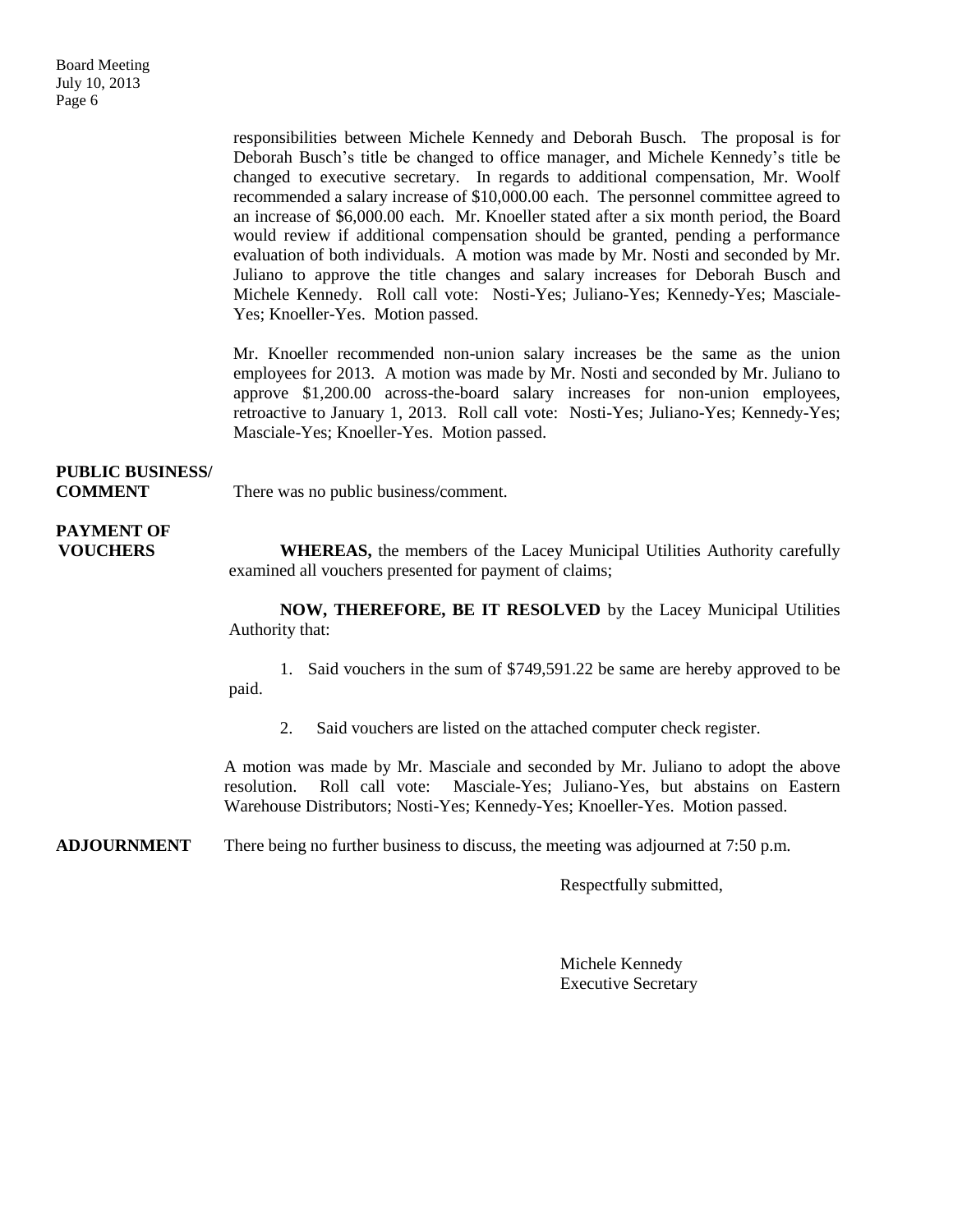responsibilities between Michele Kennedy and Deborah Busch. The proposal is for Deborah Busch's title be changed to office manager, and Michele Kennedy's title be changed to executive secretary. In regards to additional compensation, Mr. Woolf recommended a salary increase of \$10,000.00 each. The personnel committee agreed to an increase of \$6,000.00 each. Mr. Knoeller stated after a six month period, the Board would review if additional compensation should be granted, pending a performance evaluation of both individuals. A motion was made by Mr. Nosti and seconded by Mr. Juliano to approve the title changes and salary increases for Deborah Busch and Michele Kennedy. Roll call vote: Nosti-Yes; Juliano-Yes; Kennedy-Yes; Masciale-Yes; Knoeller-Yes. Motion passed.

Mr. Knoeller recommended non-union salary increases be the same as the union employees for 2013. A motion was made by Mr. Nosti and seconded by Mr. Juliano to approve \$1,200.00 across-the-board salary increases for non-union employees, retroactive to January 1, 2013. Roll call vote: Nosti-Yes; Juliano-Yes; Kennedy-Yes; Masciale-Yes; Knoeller-Yes. Motion passed.

## **PUBLIC BUSINESS/**

**COMMENT** There was no public business/comment.

# **PAYMENT OF**

**VOUCHERS** WHEREAS, the members of the Lacey Municipal Utilities Authority carefully examined all vouchers presented for payment of claims;

> **NOW, THEREFORE, BE IT RESOLVED** by the Lacey Municipal Utilities Authority that:

> 1. Said vouchers in the sum of \$749,591.22 be same are hereby approved to be paid.

2. Said vouchers are listed on the attached computer check register.

A motion was made by Mr. Masciale and seconded by Mr. Juliano to adopt the above resolution. Roll call vote: Masciale-Yes; Juliano-Yes, but abstains on Eastern Warehouse Distributors; Nosti-Yes; Kennedy-Yes; Knoeller-Yes. Motion passed.

**ADJOURNMENT** There being no further business to discuss, the meeting was adjourned at 7:50 p.m.

Respectfully submitted,

Michele Kennedy Executive Secretary